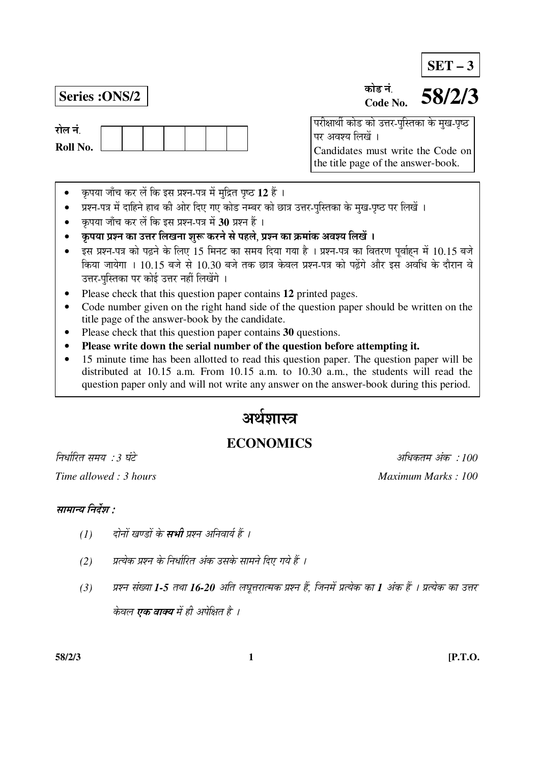**SET – 3**

रोल नं **Roll No.** 

#### **Series :ONS/2 58/2/3** कोड नं **Code No.**

<u>परीक्षार्थी कोड को उत्तर-पुस्तिका के मुख-पृष्ठ</u> पर अवश्य लिखें । Candidates must write the Code on the title page of the answer-book.

- कृपया जाँच कर लें कि इस प्रश्न-पत्र में मुद्रित पृष्ठ 12 हैं ।
- प्रश्न-पत्र में दाहिने हाथ की ओर दिए गए कोड नम्बर को छात्र उत्तर-पुस्तिका के मुख-पृष्ठ पर लिखें ।
- कृपया जाँच कर लें कि इस प्रश्न-पत्र में 30 प्रश्न हैं ।
- कृपया प्रश्न का उत्तर लिखना शुरू करने से पहले, प्रश्न का क्रमांक अवश्य लिखें ।
- इस प्रश्न-पत्र को पढ़ने के लिए 15 मिनट का समय दिया गया है । प्रश्न-पत्र का वितरण पर्वाहन में 10.15 बजे किया जायेगा । 10.15 बजे से 10.30 बजे तक छात्र केवल प्रश्न-पत्र को पढ़ेंगे और इस अवधि के दौरान वे उत्तर-पुस्तिका पर कोई उत्तर नहीं लिखेंगे ।
- Please check that this question paper contains **12** printed pages.
- Code number given on the right hand side of the question paper should be written on the title page of the answer-book by the candidate.
- Please check that this question paper contains **30** questions.
- **Please write down the serial number of the question before attempting it.**
- 15 minute time has been allotted to read this question paper. The question paper will be distributed at 10.15 a.m. From 10.15 a.m. to 10.30 a.m., the students will read the question paper only and will not write any answer on the answer-book during this period.

# अर्थशास्त्र

# **ECONOMICS**

×®Ö¬ÖÖÔ׸üŸÖ ÃÖ´ÖµÖ : *3* 'ÖÓ™êü †×¬ÖÛúŸÖ´Ö †ÓÛú : *100 Time allowed : 3 hours* And *Maximum Marks : 100 Maximum Marks : 100 Maximum Marks : 100* 

# सामान्य निर्देश :

- *(1) दोनों खण्डों के सभी प्रश्न अनिवार्य हैं ।*
- *(*2) यत्येक प्रश्न के निर्धारित अंक उसके सामने दिए गये हैं ।
- *(3) प्रश्न संख्या 1-5 तथा 16-20 अति लघूत्तरात्मक प्रश्न हैं, जिनमें प्रत्येक का 1 अंक हैं । प्रत्येक का उत्तर* केवल **एक वाक्य** में ही अपेक्षित है ।

**58/2/3 1 [P.T.O.**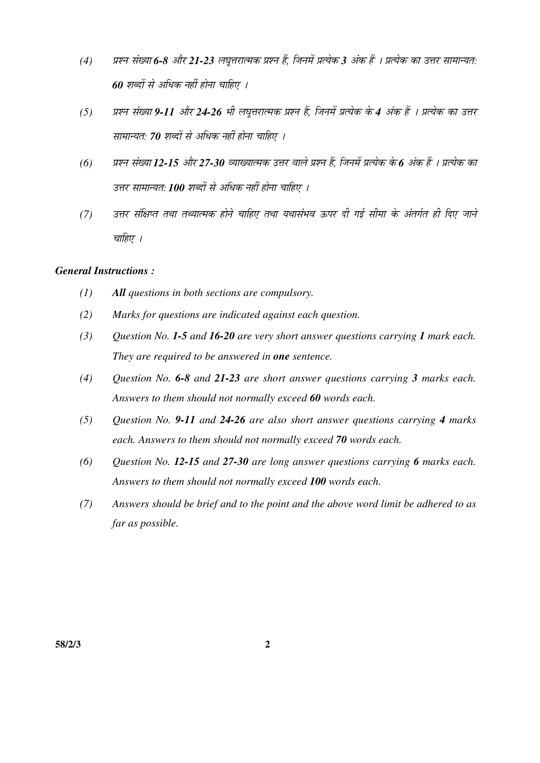- *(4)* ¯ÖÏ¿®Ö ÃÖÓܵÖÖ *6-8* †Öî¸ü *21-23* »Ö'Öæ¢Ö¸üÖŸ´ÖÛú ¯ÖÏ¿®Ö Æïü, וִ֮Öë ¯ÖÏŸµÖêÛú *3* †ÓÛú Æïü … ¯ÖÏŸµÖêÛú ÛúÖ ˆ¢Ö¸ü ÃÖÖ´ÖÖ®µÖŸÖ: *60 शब्दों से अधिक नहीं होना चाहिए ।*
- *(5) प्रश्न संख्या 9-11 और 24-26 भी लघूत्तरात्मक प्रश्न हैं, जिनमें प्रत्येक के 4 अंक हैं । प्रत्येक का उत्तर* सामान्यत: 70 शब्दों से अधिक नहीं होना चाहिए ।
- *(6) प्रश्न संख्या 12-15 और 27-30 व्याख्यात्मक उत्तर वाले प्रश्न हैं, जिनमें प्रत्येक के 6 अंक हैं । प्रत्येक का* उत्तर सामान्यत: **100** शब्दों से अधिक नहीं होना चाहिए ।
- *(7) उत्तर संक्षिप्त तथा तथ्यात्मक होने चाहिए तथा यथासंभव ऊपर दी गई सीमा के अंतर्गत ही दिए जाने* चाहिए ।

# *General Instructions :*

- *(1) All questions in both sections are compulsory.*
- *(2) Marks for questions are indicated against each question.*
- *(3) Question No. 1-5 and 16-20 are very short answer questions carrying 1 mark each. They are required to be answered in one sentence.*
- *(4) Question No. 6-8 and 21-23 are short answer questions carrying 3 marks each. Answers to them should not normally exceed 60 words each.*
- *(5) Question No. 9-11 and 24-26 are also short answer questions carrying 4 marks each. Answers to them should not normally exceed 70 words each.*
- *(6) Question No. 12-15 and 27-30 are long answer questions carrying 6 marks each. Answers to them should not normally exceed 100 words each.*
- *(7) Answers should be brief and to the point and the above word limit be adhered to as far as possible.*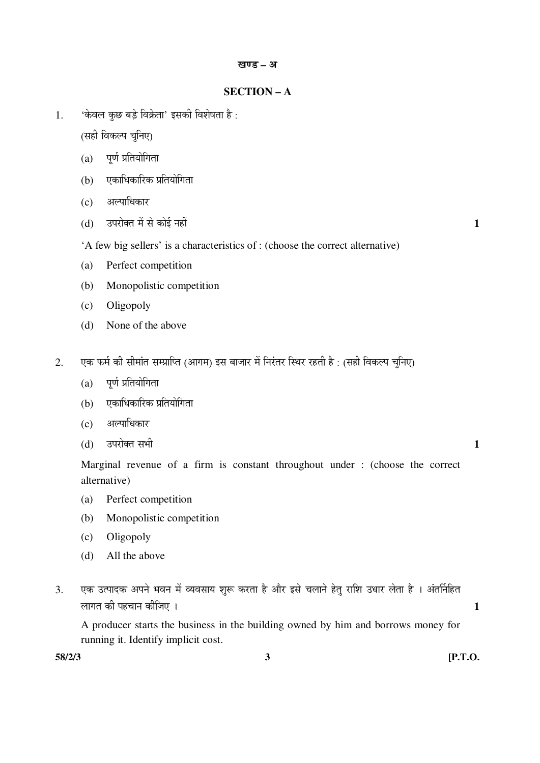# **SECTION – A**

 $1.$   $\bullet$  केवल कछ बडे विक्रेता' इसकी विशेषता है:

(सही विकल्प चुनिए)

- $(a)$  पूर्ण प्रतियोगिता
- (b) एकाधिकारिक प्रतियोगिता
- (c) अल्पाधिकार
- (d) उपरोक्त में से कोई नहीं हैं किएंटिक के बाद कर बाद कर बाद कर बाद कर बाद कर बाद कर बाद कर बाद कर बाद कर बाद क
- 'A few big sellers' is a characteristics of : (choose the correct alternative)
- (a) Perfect competition
- (b) Monopolistic competition
- (c) Oligopoly
- (d) None of the above
- 2. एक फर्म की सीमांत सम्प्राप्ति (आगम) इस बाजार में निरंतर स्थिर रहती है : (सही विकल्प चुनिए)
	- $(a)$  पूर्ण प्रतियोगिता
	- (b) एकाधिकारिक प्रतियोगिता
	- $(c)$  अल्पाधिकार
- $(d)$   $\bar{c}$  उपरोक्त सभी  $\bar{c}$

 Marginal revenue of a firm is constant throughout under : (choose the correct alternative)

- (a) Perfect competition
- (b) Monopolistic competition
- (c) Oligopoly
- (d) All the above
- 3. एक उत्पादक अपने भवन में व्यवसाय शुरू करता है और इसे चलाने हेतु राशि उधार लेता है । अंतर्निहित »ÖÖÝÖŸÖ Ûúß ¯ÖÆü"ÖÖ®Ö Ûúßו֋ … **1**

 A producer starts the business in the building owned by him and borrows money for running it. Identify implicit cost.

**58/2/3 3 [P.T.O.**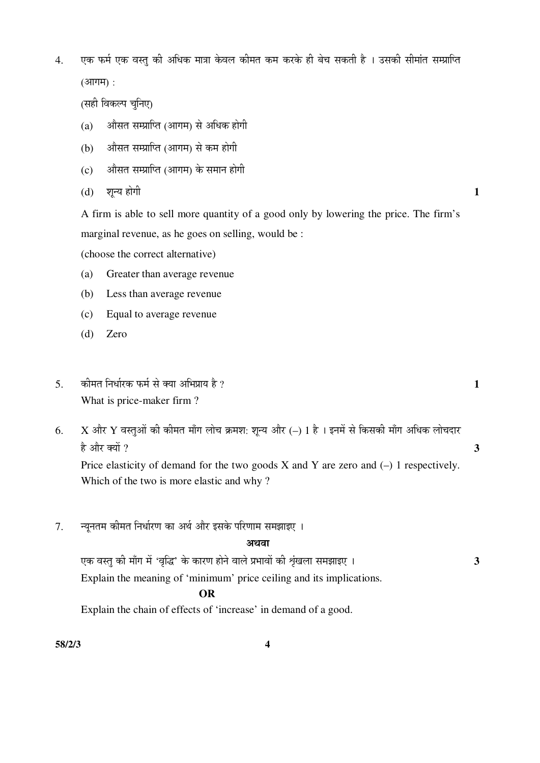4. एक फर्म एक वस्तु की अधिक मात्रा केवल कीमत कम करके ही बेच सकती है । उसकी सीमांत सम्प्राप्ति  $(3$ गगम $)$  :

(सही विकल्प चनिए)

- $(a)$   $\alpha$  औसत सम्प्राप्ति (आगम) से अधिक होगी
- (b) ज्ञौसत सम्प्राप्ति (आगम) से कम होगी
- $(c)$  औसत सम्प्राप्ति (आगम) के समान होगी
- (d) शून्य होगी **1**

 A firm is able to sell more quantity of a good only by lowering the price. The firm's marginal revenue, as he goes on selling, would be :

(choose the correct alternative)

- (a) Greater than average revenue
- (b) Less than average revenue
- (c) Equal to average revenue
- (d) Zero
- 5. Ûúß´ÖŸÖ ×®Ö¬ÖÖÔ¸üÛú ±ú´ÖÔ ÃÖê ŒµÖÖ †×³Ö¯ÖÏÖµÖ Æîü ? **1**  What is price-maker firm ?
- 6. X और Y वस्तुओं की कीमत माँग लोच क्रमश: शून्य और (–) 1 है । इनमें से किसकी माँग अधिक लोचदार  $\hat{\epsilon}$  और क्यों ?  $\hat{\epsilon}$

Price elasticity of demand for the two goods  $X$  and  $Y$  are zero and  $(-)$  1 respectively. Which of the two is more elastic and why ?

7. न्यनतम कीमत निर्धारण का अर्थ और इसके परिणाम समझाइए ।

#### अंशता

 ‹Ûú ¾ÖßÖã Ûúß ´ÖÖÑÝÖ ´Öë '¾Öéרü' Ûêú ÛúÖ¸üÞÖ ÆüÖê®Öê ¾ÖÖ»Öê ¯ÖϳÖÖ¾ÖÖë Ûúß ÀÖéÓÜÖ»ÖÖ ÃÖ´Ö—ÖÖ‡‹ … **3**  Explain the meaning of 'minimum' price ceiling and its implications.

# **OR**

Explain the chain of effects of 'increase' in demand of a good.

**58/2/3 4**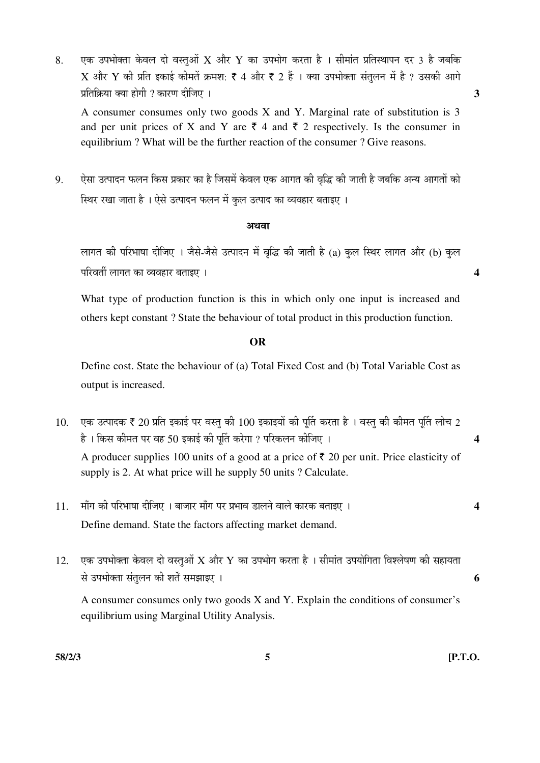8. ‹Ûú ˆ¯Ö³ÖÖꌟÖÖ Ûêú¾Ö»Ö ¤üÖê ¾ÖßÖã†Öë X †Öî¸ü Y ÛúÖ ˆ¯Ö³ÖÖêÝÖ Ûú¸üŸÖÖ Æîü … ÃÖß´ÖÖÓŸÖ ¯ÖÏןÖãÖÖ¯Ö®Ö ¤ü¸ü 3 Æîü •Ö²Ö×Ûú  $\boldsymbol{\mathrm{X}}$  और  $\boldsymbol{\mathrm{Y}}$  की प्रति इकाई कीमतें क्रमश: ₹ 4 और ₹ 2 हैं । क्या उपभोक्ता संतलन में है ? उसकी आगे ¯ÖÏןÖ×ÛÎúµÖÖ ŒµÖÖ ÆüÖêÝÖß ? ÛúÖ¸üÞÖ ¤üßו֋ … **3** 

 A consumer consumes only two goods X and Y. Marginal rate of substitution is 3 and per unit prices of X and Y are  $\bar{\tau}$  4 and  $\bar{\tau}$  2 respectively. Is the consumer in equilibrium ? What will be the further reaction of the consumer ? Give reasons.

9. ऐसा उत्पादन फलन किस प्रकार का है जिसमें केवल एक आगत की वृद्धि की जाती है जबकि अन्य आगतों को <u>स्थिर रखा जाता है । ऐसे उत्पादन फलन में कूल उत्पाद का व्यवहार बताइए ।</u>

#### अथवा

लागत की परिभाषा दीजिए । जैसे-जैसे उत्पादन में वृद्धि की जाती है (a) कुल स्थिर लागत और (b) कुल ¯Ö׸ü¾ÖŸÖá »ÖÖÝÖŸÖ ÛúÖ ¾µÖ¾ÖÆüÖ¸ü ²ÖŸÖÖ‡‹ … **4** 

 What type of production function is this in which only one input is increased and others kept constant ? State the behaviour of total product in this production function.

# **OR**

 Define cost. State the behaviour of (a) Total Fixed Cost and (b) Total Variable Cost as output is increased.

 $10.$  एक उत्पादक ₹ 20 प्रति इकाई पर वस्तु की  $100$  इकाइयों की पुर्ति करता है । वस्तु की कीमत पुर्ति लोच 2 Æîü … ×ÛúÃÖ Ûúß´ÖŸÖ ¯Ö¸ü ¾ÖÆü 50 ‡ÛúÖ‡Ô Ûúß ¯ÖæÙŸÖ Ûú¸êüÝÖÖ ? ¯Ö׸üÛú»Ö®Ö Ûúßו֋ … **4** 

A producer supplies 100 units of a good at a price of  $\bar{\tau}$  20 per unit. Price elasticity of supply is 2. At what price will he supply 50 units ? Calculate.

- $11.$   $\,$  माँग की परिभाषा दीजिए । बाजार माँग पर प्रभाव डालने वाले कारक बताइए ।  $\,$ Define demand. State the factors affecting market demand.
- $12.$  एक उपभोक्ता केवल दो वस्तुओं  $X$  और  $Y$  का उपभोग करता है । सीमांत उपयोगिता विश्लेषण की सहायता  $\vec{a}$  उपभोक्ता संतलन की शर्तें समझाइए ।

 A consumer consumes only two goods X and Y. Explain the conditions of consumer's equilibrium using Marginal Utility Analysis.

**58/2/3 5 [P.T.O.**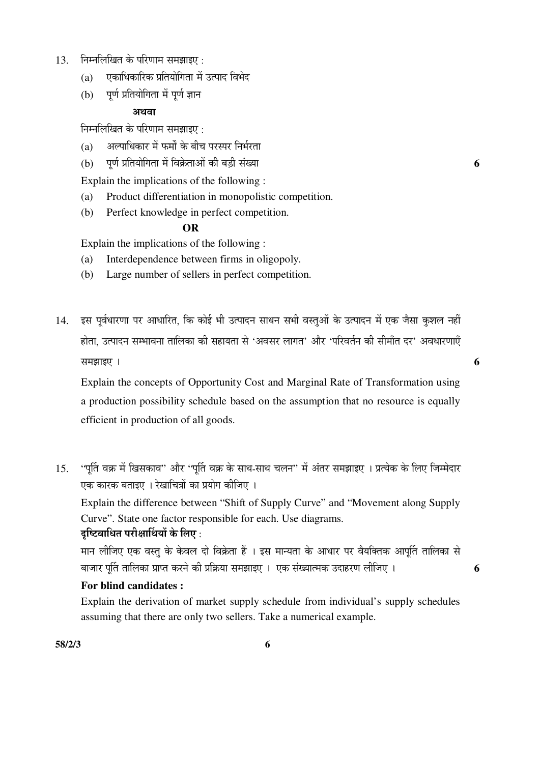- $13.$  निम्नलिखित के परिणाम समझाइए $\,$ :
	- $(a)$  एकाधिकारिक प्रतियोगिता में उत्पाद विभेद
	- (b) पूर्ण प्रतियोगिता में पूर्ण ज्ञान

# अथवा

निम्नलिखित के परिणाम समझाइए :

- (a) जिल्पाधिकार में फर्मों के बीच परस्पर निर्भरता
- (b) ¯ÖæÞÖÔ ¯ÖÏןֵÖÖê×ÝÖŸÖÖ ´Öë ×¾ÖÛÎêúŸÖÖ†Öë Ûúß ²Ö›Ìüß ÃÖÓܵÖÖ **6**

Explain the implications of the following :

- (a) Product differentiation in monopolistic competition.
- (b) Perfect knowledge in perfect competition.

# **OR**

Explain the implications of the following :

- (a) Interdependence between firms in oligopoly.
- (b) Large number of sellers in perfect competition.
- 14. इस पर्वधारणा पर आधारित, कि कोई भी उत्पादन साधन सभी वस्तओं के उत्पादन में एक जैसा कशल नहीं होता, उत्पादन सम्भावना तालिका की सहायता से 'अवसर लागत' और 'परिवर्तन की सीमाँत दर' अवधारणाएँ ÃÖ´Ö—ÖÖ‡‹ … **6**

 Explain the concepts of Opportunity Cost and Marginal Rate of Transformation using a production possibility schedule based on the assumption that no resource is equally efficient in production of all goods.

15. 'पुर्ति वक्र में खिसकाव'' और ''पुर्ति वक्र के साथ-साथ चलन'' में अंतर समझाइए । प्रत्येक के लिए जिम्मेदार एक कारक बताइए । रेखाचित्रों का प्रयोग कीजिए ।

 Explain the difference between "Shift of Supply Curve" and "Movement along Supply Curve". State one factor responsible for each. Use diagrams.

# दच्चिबाधित परीक्षार्थियों के लिए :

मान लीजिए एक वस्तु के केवल दो विक्रेता हैं । इस मान्यता के आधार पर वैयक्तिक आपति तालिका से बाजार पति तालिका प्राप्त करने की प्रक्रिया समझाइए । एक संख्यात्मक उदाहरण लीजिए । 6

# **For blind candidates :**

 Explain the derivation of market supply schedule from individual's supply schedules assuming that there are only two sellers. Take a numerical example.

**58/2/3 6**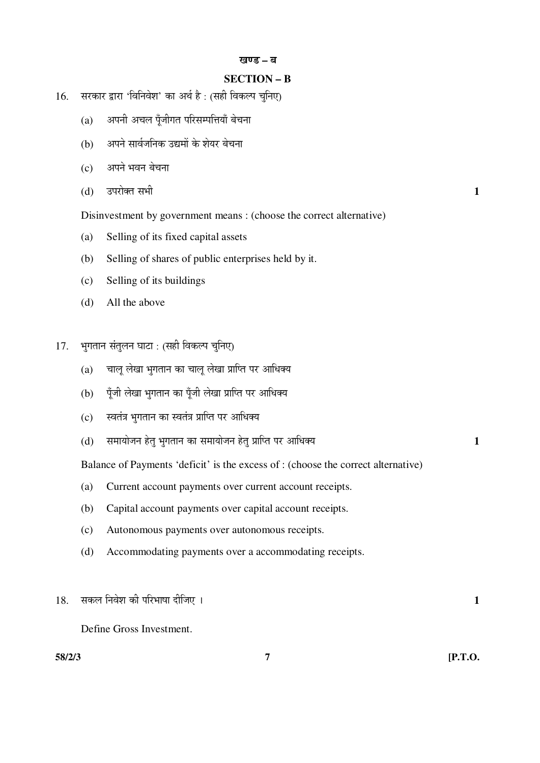#### खण्ड – ब

# **SECTION – B**

- 16. सरकार द्वारा 'विनिवेश' का अर्थ है: (सही विकल्प चनिए)
	- $(a)$  अपनी अचल पूँजीगत परिसम्पत्तियाँ बेचना
	- (b) अपने सार्वजनिक उद्यमों के शेयर बेचना
	- (c) अपने भवन बेचना
- $(d)$   $\bar{c}$ उपरोक्त सभी  $\bar{c}$ 
	- Disinvestment by government means : (choose the correct alternative)
	- (a) Selling of its fixed capital assets
	- (b) Selling of shares of public enterprises held by it.
	- (c) Selling of its buildings
	- (d) All the above
- 17. भुगतान संतुलन घाटा : (सही विकल्प चुनिए)
	- $(a)$  घालू लेखा भुगतान का चालू लेखा प्राप्ति पर आधिक्य
	- (b) पँजी लेखा भगतान का पँजी लेखा प्राप्ति पर आधिक्य
	- (c) स्वतंत्र भगतान का स्वतंत्र प्राप्ति पर आधिक्य
	- (d) ÃÖ´ÖÖµÖÖê•Ö®Ö ÆêüŸÖã ³ÖãÝÖŸÖÖ®Ö ÛúÖ ÃÖ´ÖÖµÖÖê•Ö®Ö ÆêüŸÖã ¯ÖÏÖׯŸÖ ¯Ö¸ü †Ö׬֌µÖ **1**

Balance of Payments 'deficit' is the excess of : (choose the correct alternative)

- (a) Current account payments over current account receipts.
- (b) Capital account payments over capital account receipts.
- (c) Autonomous payments over autonomous receipts.
- (d) Accommodating payments over a accommodating receipts.

# 18. ÃÖÛú»Ö ×®Ö¾Öê¿Ö Ûúß ¯Ö׸ü³ÖÖÂÖÖ ¤üßו֋ … **1**

Define Gross Investment.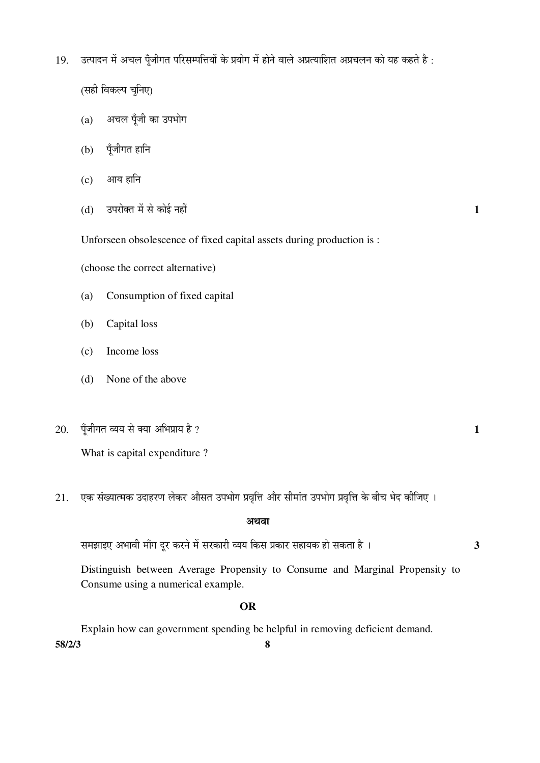19. उत्पादन में अचल पँजीगत परिसम्पत्तियों के प्रयोग में होने वाले अप्रत्याशित अप्रचलन को यह कहते है:

(सही विकल्प चुनिए)

- $(a)$  अचल पँजी का उपभोग
- $(b)$  पूँजीगत हानि
- $(c)$  आय हानि
- $(d)$   $\bar{c}$  उपरोक्त में से कोई नहीं  $\bar{c}$

Unforseen obsolescence of fixed capital assets during production is :

(choose the correct alternative)

- (a) Consumption of fixed capital
- (b) Capital loss
- (c) Income loss
- (d) None of the above
- $20.$  पँजीगत व्यय से क्या अभिप्राय है ?  $1$

What is capital expenditure ?

21. एक संख्यात्मक उदाहरण लेकर औसत उपभोग प्रवृत्ति और सीमांत उपभोग प्रवृत्ति के बीच भेद कीजिए ।

#### अथवा

ÃÖ´Ö—ÖÖ‡‹ †³ÖÖ¾Öß ´ÖÖÑÝÖ ¤æü¸ü Ûú¸ü®Öê ´Öë ÃÖ¸üÛúÖ¸üß ¾µÖµÖ ×ÛúÃÖ ¯ÖÏÛúÖ¸ü ÃÖÆüÖµÖÛú ÆüÖê ÃÖÛúŸÖÖ Æîü … **3**

 Distinguish between Average Propensity to Consume and Marginal Propensity to Consume using a numerical example.

### **OR**

**58/2/3 8**  Explain how can government spending be helpful in removing deficient demand.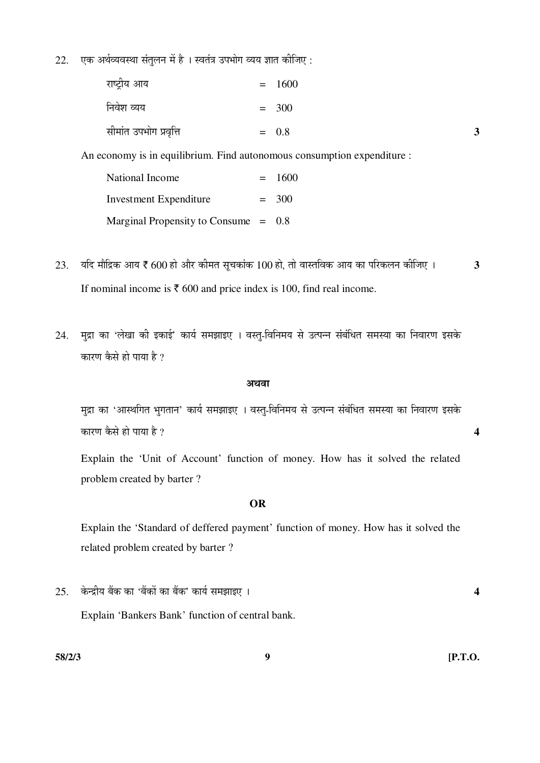$22.$  एक अर्थव्यवस्था संतुलन में है । स्वतंत्र उपभोग व्यय ज्ञात कीजिए :

| राष्ट्रीय आय           | $= 1600$ |   |
|------------------------|----------|---|
| निवेश व्यय             | $= 300$  |   |
| सीमांत उपभोग प्रवृत्ति | $= 0.8$  | 3 |

An economy is in equilibrium. Find autonomous consumption expenditure :

| National Income                        | $= 1600$ |
|----------------------------------------|----------|
| <b>Investment Expenditure</b>          | $=$ 300  |
| Marginal Propensity to Consume $= 0.8$ |          |

- $23.$  यदि मौद्रिक आय ₹ 600 हो और कीमत सचकांक 100 हो. तो वास्तविक आय का परिकलन कीजिए । 3 If nominal income is  $\bar{\tau}$  600 and price index is 100, find real income.
- 24. मुद्रा का 'लेखा की इकाई' कार्य समझाइए । वस्त्-विनिमय से उत्पन्न संबंधित समस्या का निवारण इसके कारण कैसे हो पाया है ?

#### अथवा

मुद्रा का 'आस्थगित भुगतान' कार्य समझाइए । वस्त्-विनिमय से उत्पन्न संबंधित समस्या का निवारण इसके  $\vec{a}$ कारण कैसे हो पाया है ?  $\vec{a}$ 

 Explain the 'Unit of Account' function of money. How has it solved the related problem created by barter ?

#### **OR**

 Explain the 'Standard of deffered payment' function of money. How has it solved the related problem created by barter ?

 $25.$  केन्द्रीय बैंक का 'बैंकों का बैंक' कार्य समझाइए । यो उत्तर संस्कृतिक कार्य करने थे । अब अपनी कार्य कार्य

Explain 'Bankers Bank' function of central bank.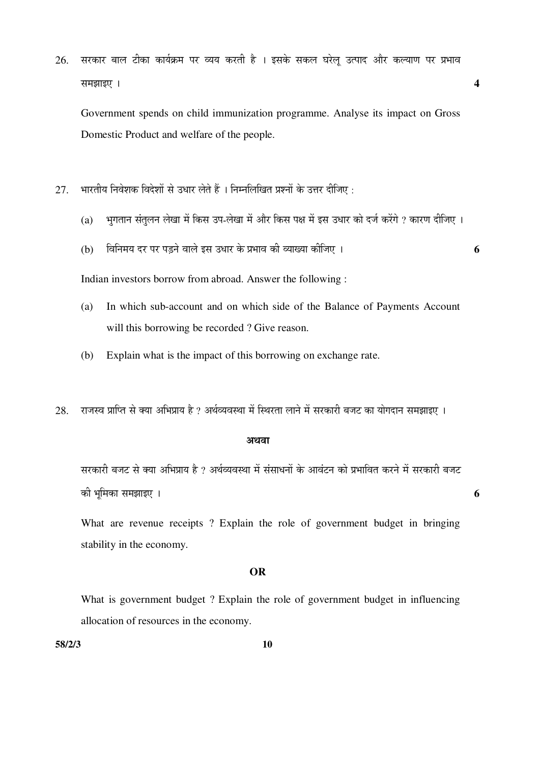$26$ . सरकार बाल टीका कार्यक्रम पर व्यय करती है । इसके सकल घरेल उत्पाद और कल्याण पर प्रभाव  $\overline{a}$  **a** 

 Government spends on child immunization programme. Analyse its impact on Gross Domestic Product and welfare of the people.

- $27.$  भारतीय निवेशक विदेशों से उधार लेते हैं । निम्नलिखित प्रश्नों के उत्तर दीजिए :
	- (a) भुगतान संतुलन लेखा में किस उप-लेखा में और किस पक्ष में इस उधार को दर्ज करेंगे ? कारण दीजिए ।
	- (b) ×¾Ö×®Ö´ÖµÖ ¤ü¸ü ¯Ö¸ü ¯Ö›Ìü®Öê ¾ÖÖ»Öê ‡ÃÖ ˆ¬ÖÖ¸ü Ûêú ¯ÖϳÖÖ¾Ö Ûúß ¾µÖÖܵÖÖ Ûúßו֋ … **6**

Indian investors borrow from abroad. Answer the following :

- (a) In which sub-account and on which side of the Balance of Payments Account will this borrowing be recorded ? Give reason.
- (b) Explain what is the impact of this borrowing on exchange rate.
- $28.$  राजस्व प्राप्ति से क्या अभिप्राय है ? अर्थव्यवस्था में स्थिरता लाने में सरकारी बजट का योगदान समझाइए ।

#### अथवा

सरकारी बजट से क्या अभिप्राय है ? अर्थव्यवस्था में संसाधनों के आवंटन को प्रभावित करने में सरकारी बजट Ûúß ³Öæ×´ÖÛúÖ ÃÖ´Ö—ÖÖ‡‹ … **6** 

 What are revenue receipts ? Explain the role of government budget in bringing stability in the economy.

## **OR**

 What is government budget ? Explain the role of government budget in influencing allocation of resources in the economy.

**58/2/3 10**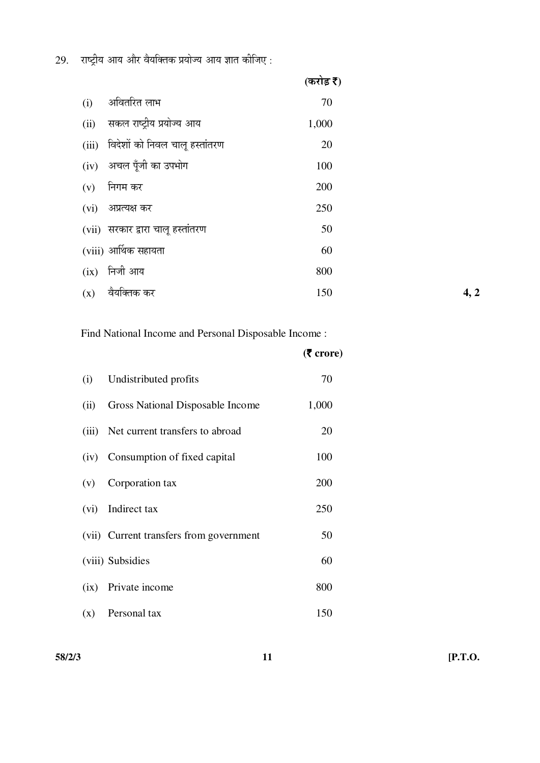$29.$  राष्ट्रीय आय और वैयक्तिक प्रयोज्य आय ज्ञात कीजिए :

|      |                                      | (करोड़ र) |      |
|------|--------------------------------------|-----------|------|
| (i)  | अवितरित लाभ                          | 70        |      |
| (ii) | सकल राष्ट्रीय प्रयोज्य आय            | 1,000     |      |
|      | (iii) विदेशों को निवल चालू हस्तांतरण | 20        |      |
|      | (iv) अचल पूँजी का उपभोग              | 100       |      |
| (v)  | निगम कर                              | 200       |      |
| (vi) | अप्रत्यक्ष कर                        | 250       |      |
|      | (vii) सरकार द्वारा चालू हस्तांतरण    | 50        |      |
|      | (viii) आर्थिक सहायता                 | 60        |      |
| (ix) | निजी आय                              | 800       |      |
| (x)  | वैयक्तिक कर                          | 150       | 4, 2 |

Find National Income and Personal Disposable Income :

|       |                                         | $(5 \text{ core})$ |
|-------|-----------------------------------------|--------------------|
| (i)   | Undistributed profits                   | 70                 |
| (ii)  | Gross National Disposable Income        | 1,000              |
| (iii) | Net current transfers to abroad         | 20                 |
| (iv)  | Consumption of fixed capital            | 100                |
| (v)   | Corporation tax                         | 200                |
| (vi)  | Indirect tax                            | 250                |
|       | (vii) Current transfers from government | 50                 |
|       | (viii) Subsidies                        | 60                 |
| (ix)  | Private income                          | 800                |
| (x)   | Personal tax                            | 150                |